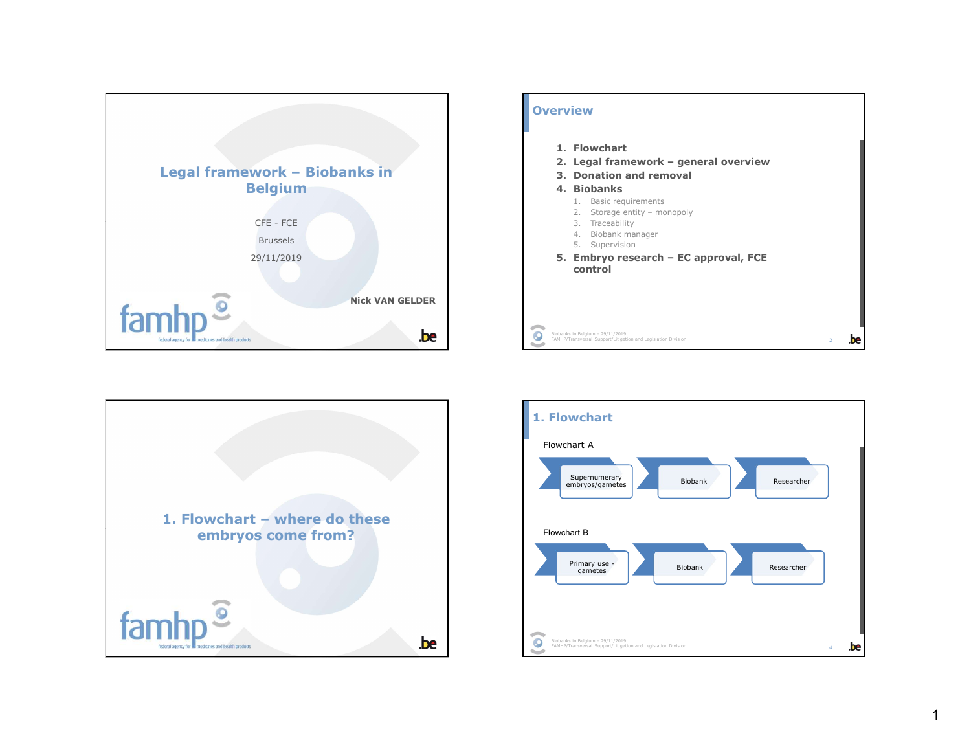





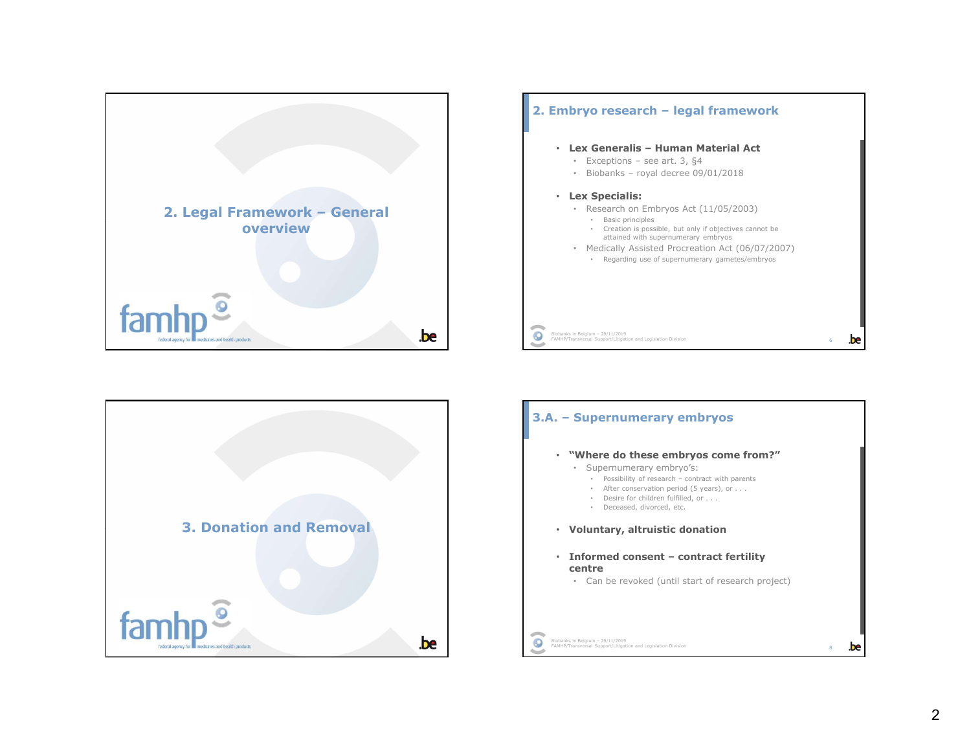





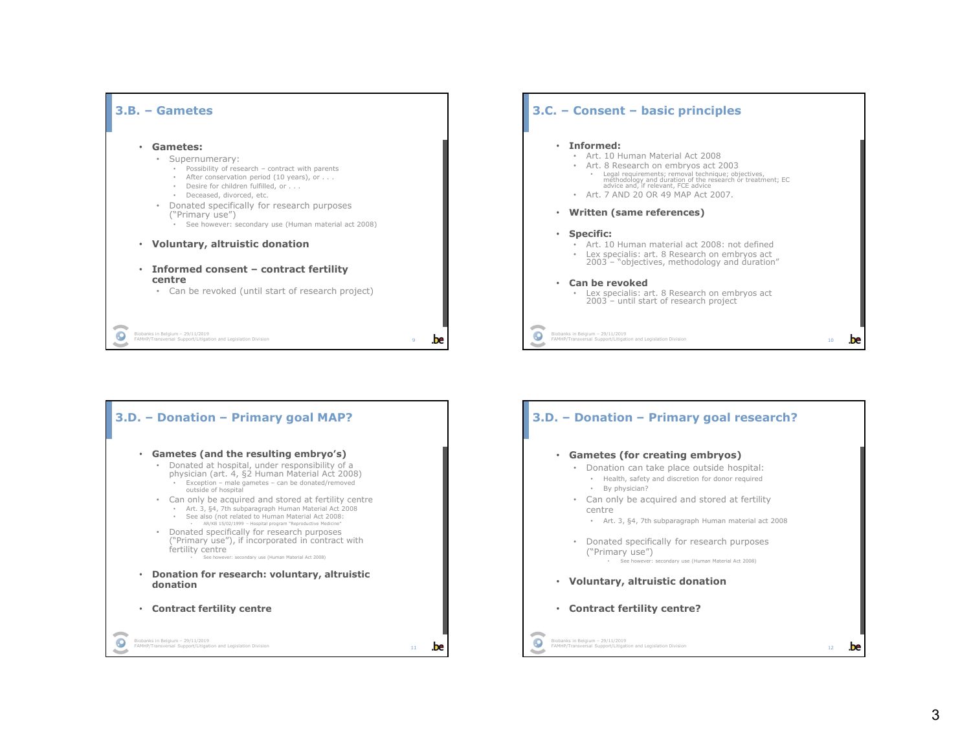





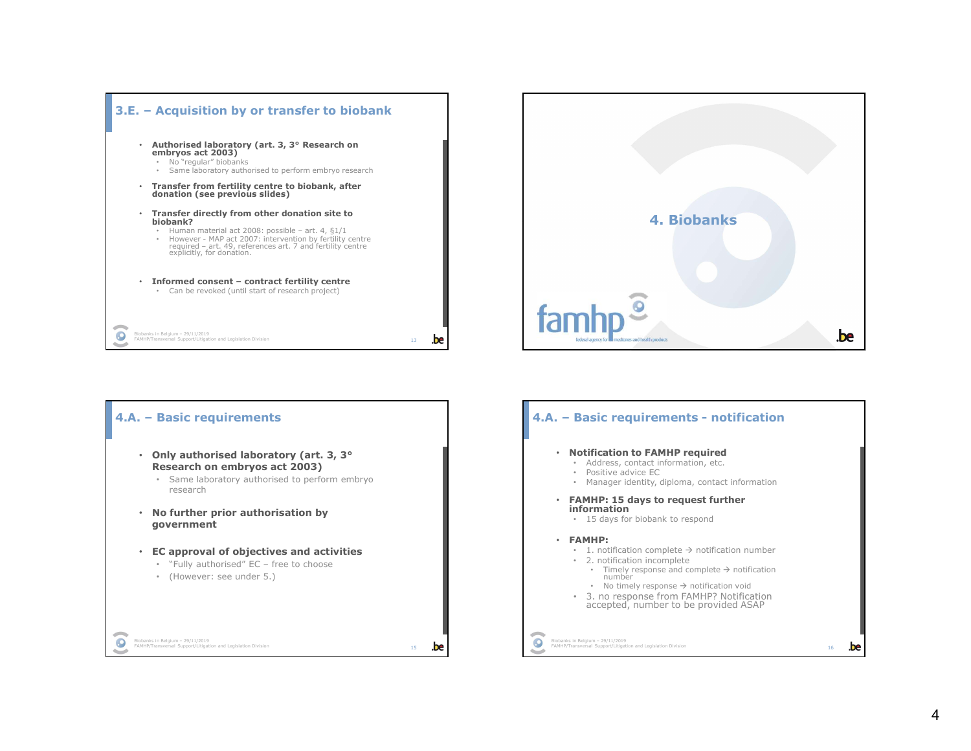



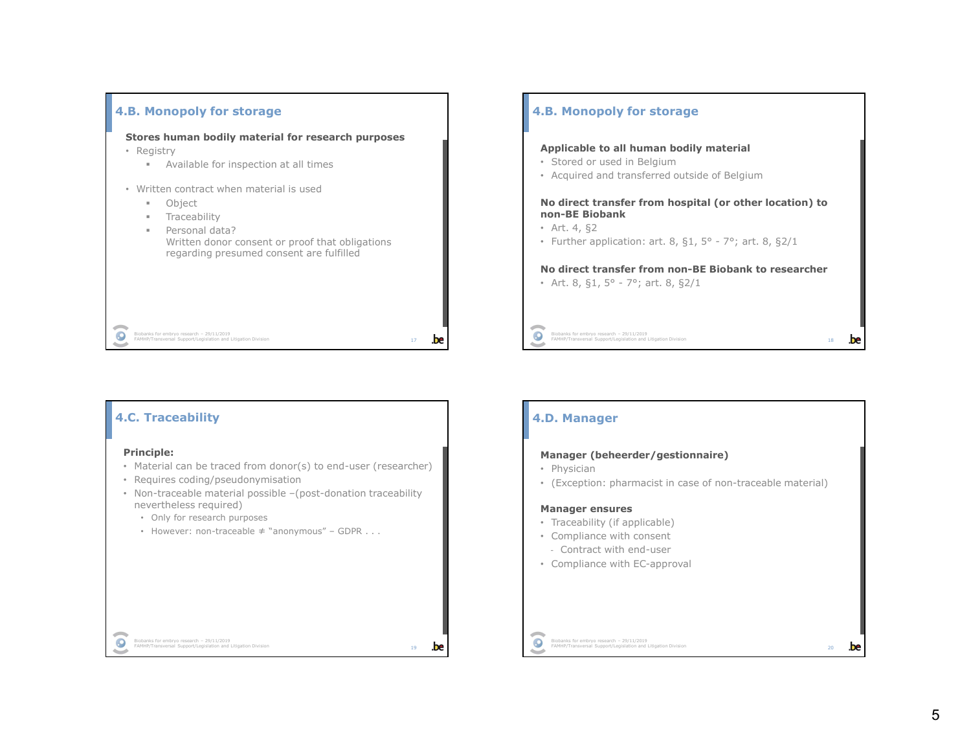

### 4.B. Monopoly for storage

### Applicable to all human bodily material

- Stored or used in Belgium
- Acquired and transferred outside of Belgium

# 1. Monopoly for storage<br>
19 Biobanks for used in Belgium<br>
Stored or used in Belgium<br>
Acquired and transferred outside of Belgium<br> **4** Biobank<br>
Art  $A_1$  S2<br>
Art  $A_2$  S2<br>
Further application: art. 8, 51, 5° - 7°; art. 8, No direct transfer from hospital (or other location) to non-BE Biobank **.B. Monopoly for storage**<br> **Applicable to all human bodily material**<br>
• Stored or used in Belgium<br>
• Acquired and transferred outside of Belgium<br> **No direct transfer from hospital (or other location) to**<br> **non-BE Biobank Formularity in the California Control of the California Control of the California Control of Belgium**<br> **•** Stored or used in Belgium<br> **No direct transferred** outside of Belgium<br> **No direct transfer from hospital (or othe**

- Art. 4, §2
- 

# No direct transfer from non-BE Biobank to researcher

**Example 18**<br>FAMHP/Transversal Support/Legislation and Litigation Division<br>18<br>**18** 

### 4.C. Traceability

### Principle:

 $\bullet$ 

- Material can be traced from donor(s) to end-user (researcher)
- Requires coding/pseudonymisation
- Non-traceable material possible –(post-donation traceability nevertheless required)
	- Only for research purposes
	-

### 4.D. Manager

- Physician
- 20 Biobana Control (1988)<br>
20 **December Andre Control (1988)**<br>
20 **December Control (Exception :** pharmacist in case of non-traceable material)<br>
20 **Exception:**<br>
20 **Exception:**<br>
20 **Exception:**<br>
20 **Exception:**<br>
20 **E Manager (beheerder/gestionnaire)**<br>
• Physician<br>
• (Exception: pharmacist in case of non-traceable material)<br>
• Traceability (if applicable)<br>
• Compliance with consent<br>
– Contract with end-user<br>
• Compliance with EC-approv • (Exception: pharmacist in case of non-traceable material)

### Manager ensures

- Traceability (if applicable)
- Compliance with consent
- Contract with end-user
- Compliance with EC-approval

Biobanks for embryo research – 29/11/2019<br>FAMHP/Transversal Support/Legislation and Litigation Division

5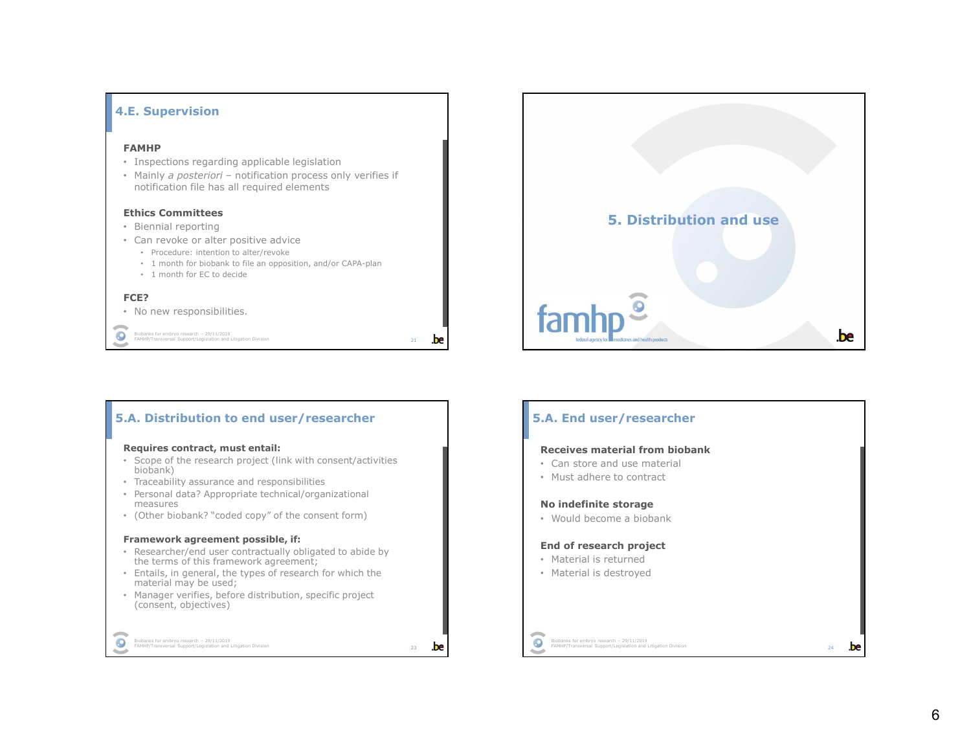



### Requires contract, must entail:

- Scope of the research project (link with consent/activities biobank)
- Traceability assurance and responsibilities
- Personal data? Appropriate technical/organizational measures
- (Other biobank? "coded copy" of the consent form)

### Framework agreement possible, if:

- Researcher/end user contractually obligated to abide by the terms of this framework agreement;
- Entails, in general, the types of research for which the material may be used;
- Manager verifies, before distribution, specific project (consent, objectives)

### Biobanks for embryo research – 29/11/2019<br>FAMHP/Transversal Support/Legislation and Litigation Division

 $\bullet$ 

### 5.A. End user/researcher

### Receives material from biobank

- Can store and use material
- Must adhere to contract

### No indefinite storage

• Would become a biobank

### End of research project

- Material is returned
- Material is destroyed

## Biobanks for embryo research – 29/11/2019<br>FAMHP/Transversal Support/Legislation and Litigation Division<br>24

## 6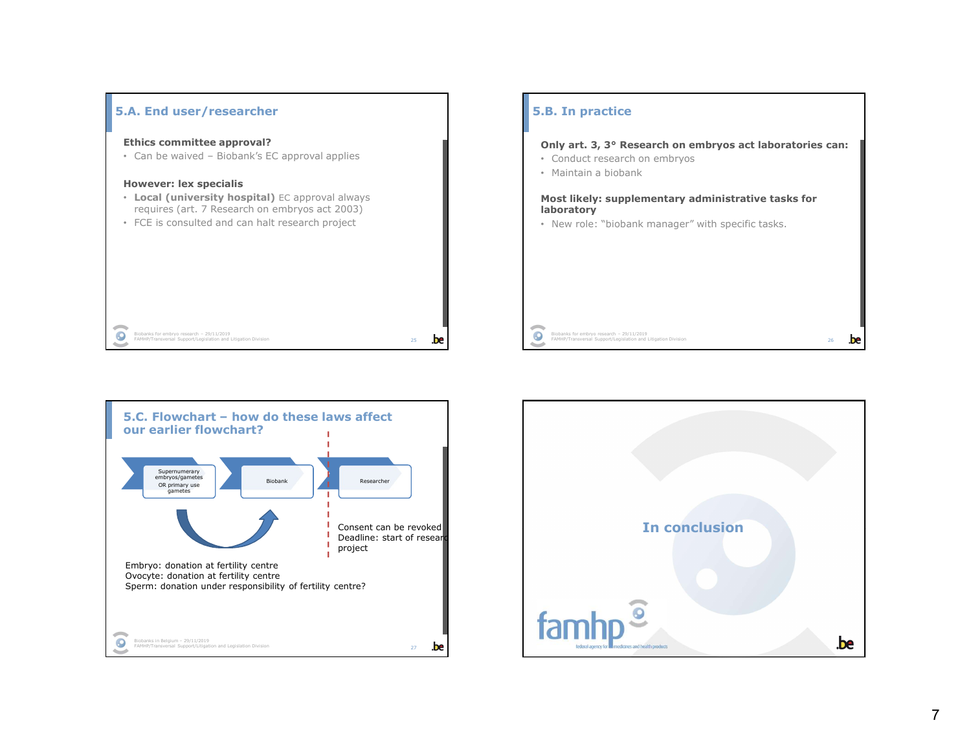

### 5.B. In practice

Biobanks for embryo research – 29/11/2019<br>FAMHP/Transversal Support/Legislation and Litigation Division<br>26

- Conduct research on embryos
- 

# Research on embryos act laboratories can:<br>
Conduct research on embryos<br>
Conduct research on embryos<br>
Most likely: supplementary administrative tasks for<br>
Most likely: supplementary administrative tasks for **B. In practice**<br> **Only art. 3, 3° Research on embryos act laboratories can:**<br>
• Conduct research on embryos<br>
• Maintain a biobank<br>
Most likely: supplementary administrative tasks for<br> **Most likely: supplementary administr B. In practice**<br> **Only art. 3, 3° Research on embryos act laboratories can:**<br>
• Conduct research on embryos<br>
• Maintain a biobank<br> **Most likely: supplementary administrative tasks for<br>
Iaboratory<br>
• New role: "biobank man** laboratory Formal Conditions, a state of the manager of the manager of the manager of the manager of the manager of the manager" with specific tasks.<br>
The manager of the manager of the manager" with specific tasks for the manager" wi